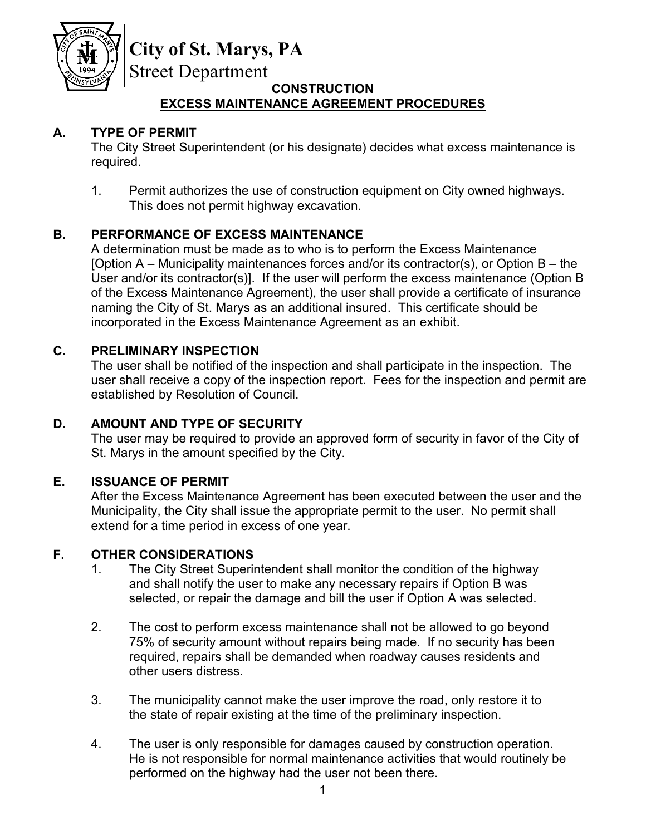

# **City of St. Marys, PA**

Street Department

### **CONSTRUCTION EXCESS MAINTENANCE AGREEMENT PROCEDURES**

## **A. TYPE OF PERMIT**

The City Street Superintendent (or his designate) decides what excess maintenance is required.

1. Permit authorizes the use of construction equipment on City owned highways. This does not permit highway excavation.

## **B. PERFORMANCE OF EXCESS MAINTENANCE**

A determination must be made as to who is to perform the Excess Maintenance [Option  $A$  – Municipality maintenances forces and/or its contractor(s), or Option  $B$  – the User and/or its contractor(s)]. If the user will perform the excess maintenance (Option B of the Excess Maintenance Agreement), the user shall provide a certificate of insurance naming the City of St. Marys as an additional insured. This certificate should be incorporated in the Excess Maintenance Agreement as an exhibit.

## **C. PRELIMINARY INSPECTION**

The user shall be notified of the inspection and shall participate in the inspection. The user shall receive a copy of the inspection report. Fees for the inspection and permit are established by Resolution of Council.

## **D. AMOUNT AND TYPE OF SECURITY**

The user may be required to provide an approved form of security in favor of the City of St. Marys in the amount specified by the City.

## **E. ISSUANCE OF PERMIT**

After the Excess Maintenance Agreement has been executed between the user and the Municipality, the City shall issue the appropriate permit to the user. No permit shall extend for a time period in excess of one year.

#### **F. OTHER CONSIDERATIONS**

- 1. The City Street Superintendent shall monitor the condition of the highway and shall notify the user to make any necessary repairs if Option B was selected, or repair the damage and bill the user if Option A was selected.
- 2. The cost to perform excess maintenance shall not be allowed to go beyond 75% of security amount without repairs being made. If no security has been required, repairs shall be demanded when roadway causes residents and other users distress.
- 3. The municipality cannot make the user improve the road, only restore it to the state of repair existing at the time of the preliminary inspection.
- 4. The user is only responsible for damages caused by construction operation. He is not responsible for normal maintenance activities that would routinely be performed on the highway had the user not been there.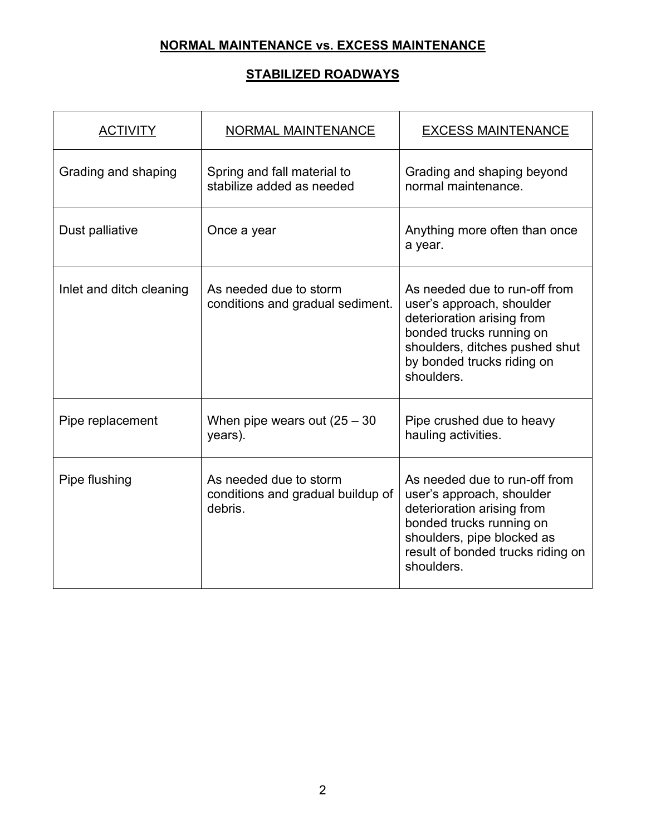## **NORMAL MAINTENANCE vs. EXCESS MAINTENANCE**

## **STABILIZED ROADWAYS**

| <b>ACTIVITY</b>          | <b>NORMAL MAINTENANCE</b>                                              | <b>EXCESS MAINTENANCE</b>                                                                                                                                                                             |  |
|--------------------------|------------------------------------------------------------------------|-------------------------------------------------------------------------------------------------------------------------------------------------------------------------------------------------------|--|
| Grading and shaping      | Spring and fall material to<br>stabilize added as needed               | Grading and shaping beyond<br>normal maintenance.                                                                                                                                                     |  |
| Dust palliative          | Once a year                                                            | Anything more often than once<br>a year.                                                                                                                                                              |  |
| Inlet and ditch cleaning | As needed due to storm<br>conditions and gradual sediment.             | As needed due to run-off from<br>user's approach, shoulder<br>deterioration arising from<br>bonded trucks running on<br>shoulders, ditches pushed shut<br>by bonded trucks riding on<br>shoulders.    |  |
| Pipe replacement         | When pipe wears out $(25 - 30)$<br>years).                             | Pipe crushed due to heavy<br>hauling activities.                                                                                                                                                      |  |
| Pipe flushing            | As needed due to storm<br>conditions and gradual buildup of<br>debris. | As needed due to run-off from<br>user's approach, shoulder<br>deterioration arising from<br>bonded trucks running on<br>shoulders, pipe blocked as<br>result of bonded trucks riding on<br>shoulders. |  |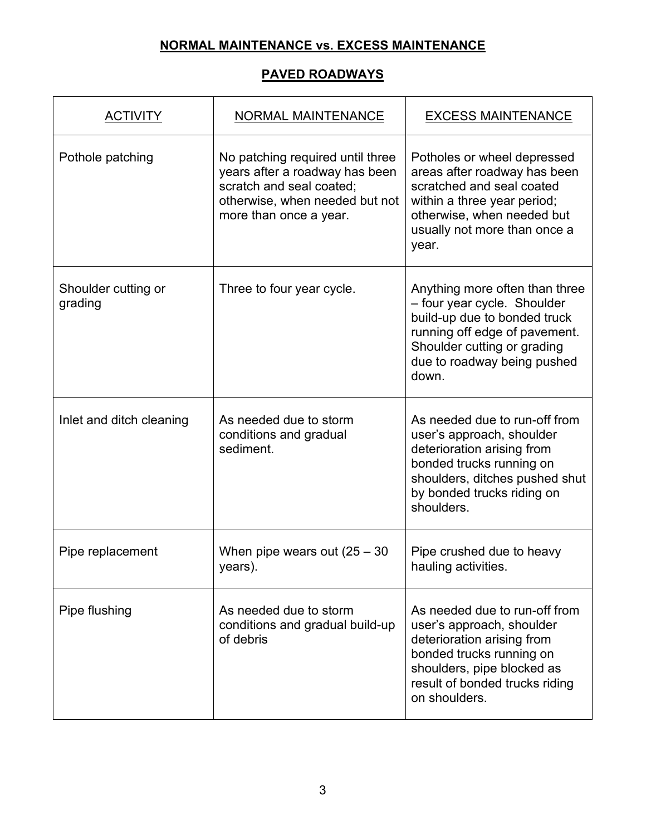## **NORMAL MAINTENANCE vs. EXCESS MAINTENANCE**

#### **PAVED ROADWAYS**

| <b>ACTIVITY</b>                | <b>NORMAL MAINTENANCE</b>                                                                                                                                  | <b>EXCESS MAINTENANCE</b>                                                                                                                                                                             |  |
|--------------------------------|------------------------------------------------------------------------------------------------------------------------------------------------------------|-------------------------------------------------------------------------------------------------------------------------------------------------------------------------------------------------------|--|
| Pothole patching               | No patching required until three<br>years after a roadway has been<br>scratch and seal coated;<br>otherwise, when needed but not<br>more than once a year. | Potholes or wheel depressed<br>areas after roadway has been<br>scratched and seal coated<br>within a three year period;<br>otherwise, when needed but<br>usually not more than once a<br>year.        |  |
| Shoulder cutting or<br>grading | Three to four year cycle.                                                                                                                                  | Anything more often than three<br>- four year cycle. Shoulder<br>build-up due to bonded truck<br>running off edge of pavement.<br>Shoulder cutting or grading<br>due to roadway being pushed<br>down. |  |
| Inlet and ditch cleaning       | As needed due to storm<br>conditions and gradual<br>sediment.                                                                                              | As needed due to run-off from<br>user's approach, shoulder<br>deterioration arising from<br>bonded trucks running on<br>shoulders, ditches pushed shut<br>by bonded trucks riding on<br>shoulders.    |  |
| Pipe replacement               | When pipe wears out $(25 - 30)$<br>years).                                                                                                                 | Pipe crushed due to heavy<br>hauling activities.                                                                                                                                                      |  |
| Pipe flushing                  | As needed due to storm<br>conditions and gradual build-up<br>of debris                                                                                     | As needed due to run-off from<br>user's approach, shoulder<br>deterioration arising from<br>bonded trucks running on<br>shoulders, pipe blocked as<br>result of bonded trucks riding<br>on shoulders. |  |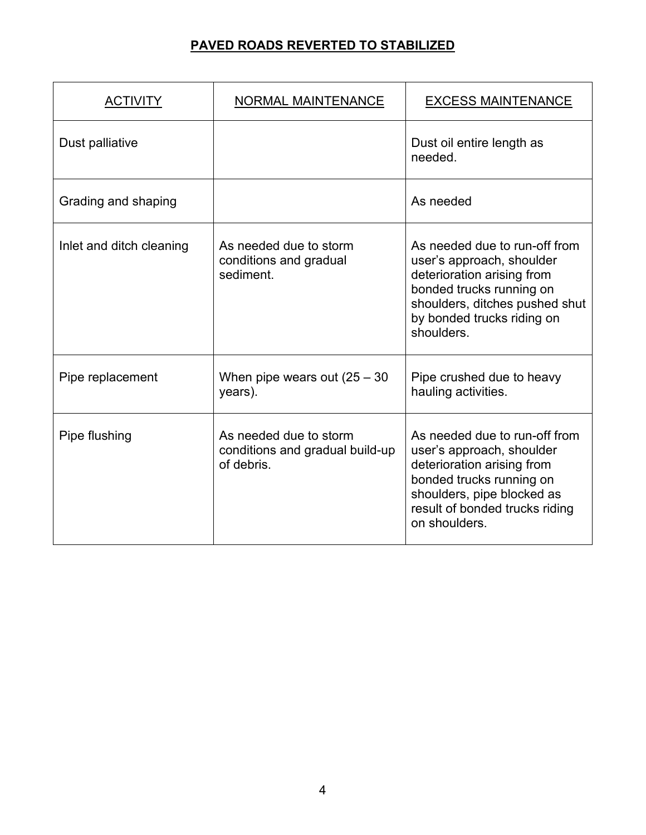## **PAVED ROADS REVERTED TO STABILIZED**

| <b>ACTIVITY</b>          | NORMAL MAINTENANCE                                                      | <b>EXCESS MAINTENANCE</b>                                                                                                                                                                             |
|--------------------------|-------------------------------------------------------------------------|-------------------------------------------------------------------------------------------------------------------------------------------------------------------------------------------------------|
| Dust palliative          |                                                                         | Dust oil entire length as<br>needed.                                                                                                                                                                  |
| Grading and shaping      |                                                                         | As needed                                                                                                                                                                                             |
| Inlet and ditch cleaning | As needed due to storm<br>conditions and gradual<br>sediment.           | As needed due to run-off from<br>user's approach, shoulder<br>deterioration arising from<br>bonded trucks running on<br>shoulders, ditches pushed shut<br>by bonded trucks riding on<br>shoulders.    |
| Pipe replacement         | When pipe wears out $(25 - 30)$<br>years).                              | Pipe crushed due to heavy<br>hauling activities.                                                                                                                                                      |
| Pipe flushing            | As needed due to storm<br>conditions and gradual build-up<br>of debris. | As needed due to run-off from<br>user's approach, shoulder<br>deterioration arising from<br>bonded trucks running on<br>shoulders, pipe blocked as<br>result of bonded trucks riding<br>on shoulders. |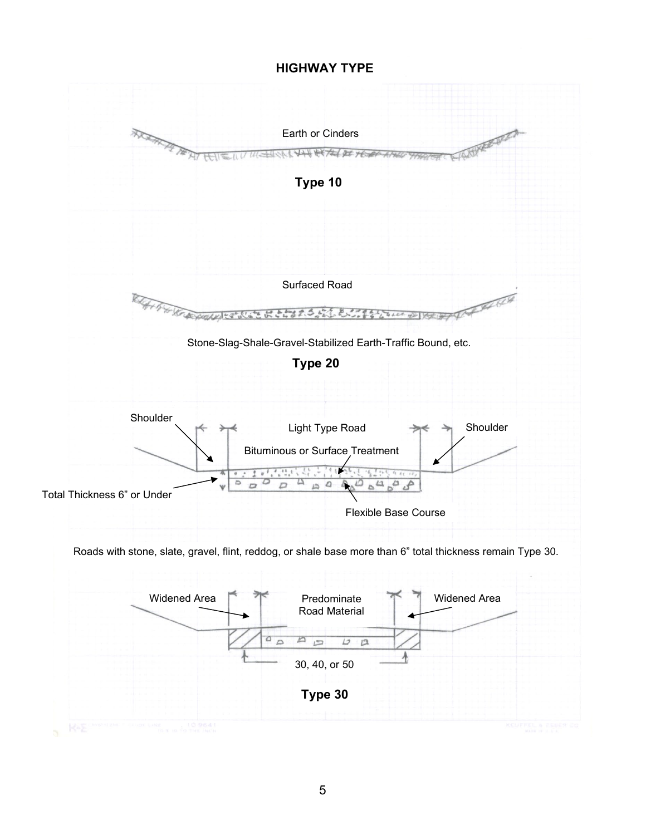#### **HIGHWAY TYPE**

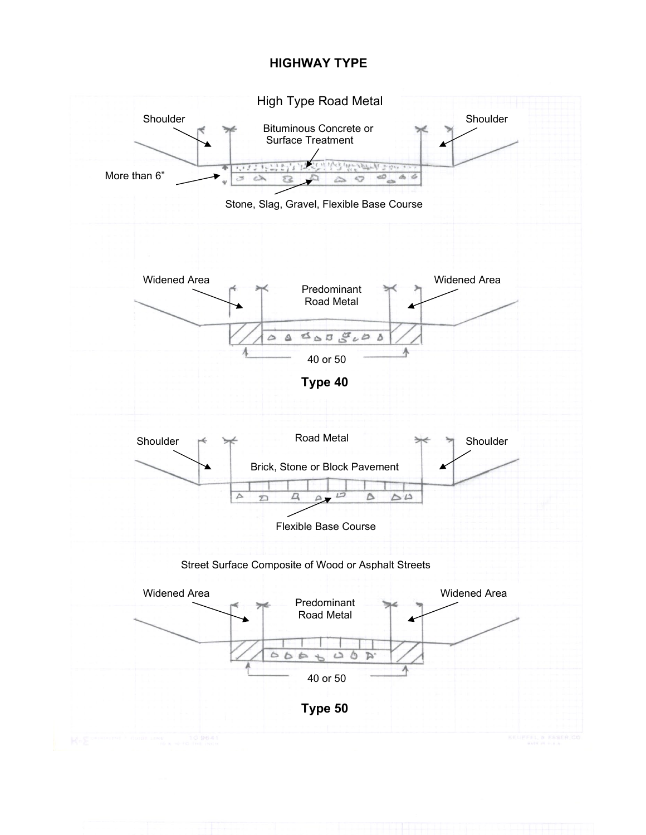#### **HIGHWAY TYPE**

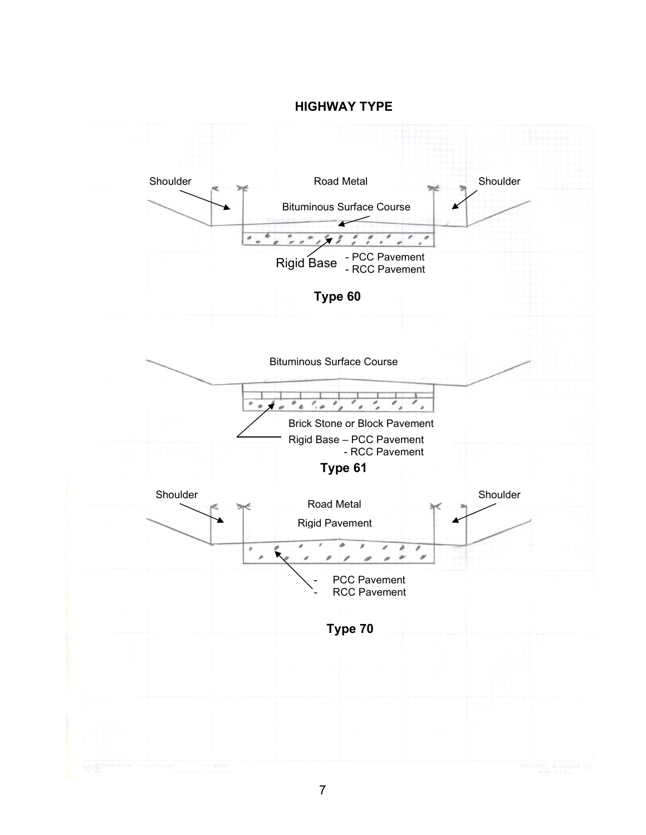#### **HIGHWAY TYPE**

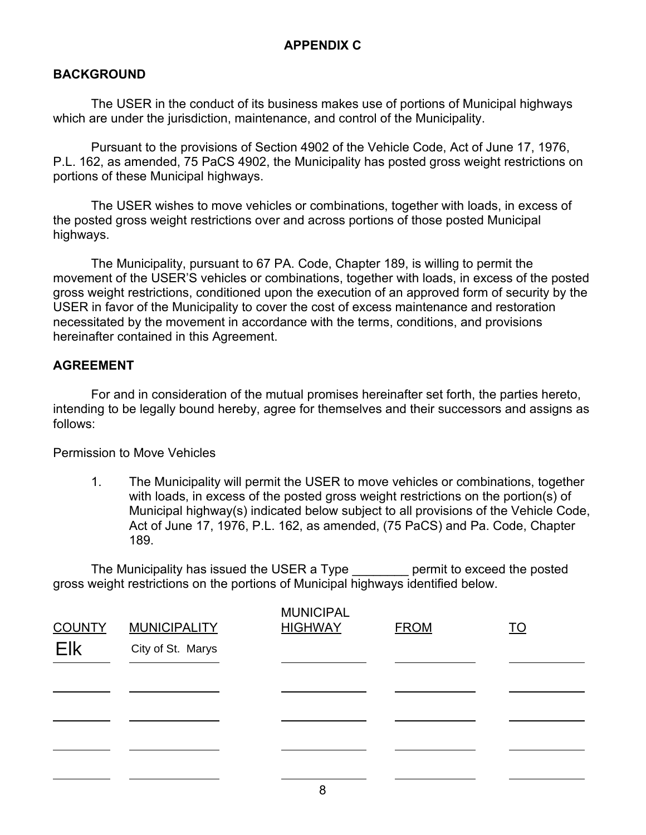#### **BACKGROUND**

The USER in the conduct of its business makes use of portions of Municipal highways which are under the jurisdiction, maintenance, and control of the Municipality.

Pursuant to the provisions of Section 4902 of the Vehicle Code, Act of June 17, 1976, P.L. 162, as amended, 75 PaCS 4902, the Municipality has posted gross weight restrictions on portions of these Municipal highways.

The USER wishes to move vehicles or combinations, together with loads, in excess of the posted gross weight restrictions over and across portions of those posted Municipal highways.

The Municipality, pursuant to 67 PA. Code, Chapter 189, is willing to permit the movement of the USER'S vehicles or combinations, together with loads, in excess of the posted gross weight restrictions, conditioned upon the execution of an approved form of security by the USER in favor of the Municipality to cover the cost of excess maintenance and restoration necessitated by the movement in accordance with the terms, conditions, and provisions hereinafter contained in this Agreement.

#### **AGREEMENT**

For and in consideration of the mutual promises hereinafter set forth, the parties hereto, intending to be legally bound hereby, agree for themselves and their successors and assigns as follows:

Permission to Move Vehicles

1. The Municipality will permit the USER to move vehicles or combinations, together with loads, in excess of the posted gross weight restrictions on the portion(s) of Municipal highway(s) indicated below subject to all provisions of the Vehicle Code, Act of June 17, 1976, P.L. 162, as amended, (75 PaCS) and Pa. Code, Chapter 189.

The Municipality has issued the USER a Type entit to exceed the posted gross weight restrictions on the portions of Municipal highways identified below.

| <b>COUNTY</b><br>Elk | <b>MUNICIPALITY</b><br>City of St. Marys | <b>MUNICIPAL</b><br><b>HIGHWAY</b> | <b>FROM</b> | <u>TO</u> |
|----------------------|------------------------------------------|------------------------------------|-------------|-----------|
|                      |                                          |                                    |             |           |
|                      |                                          |                                    |             |           |
|                      |                                          |                                    |             |           |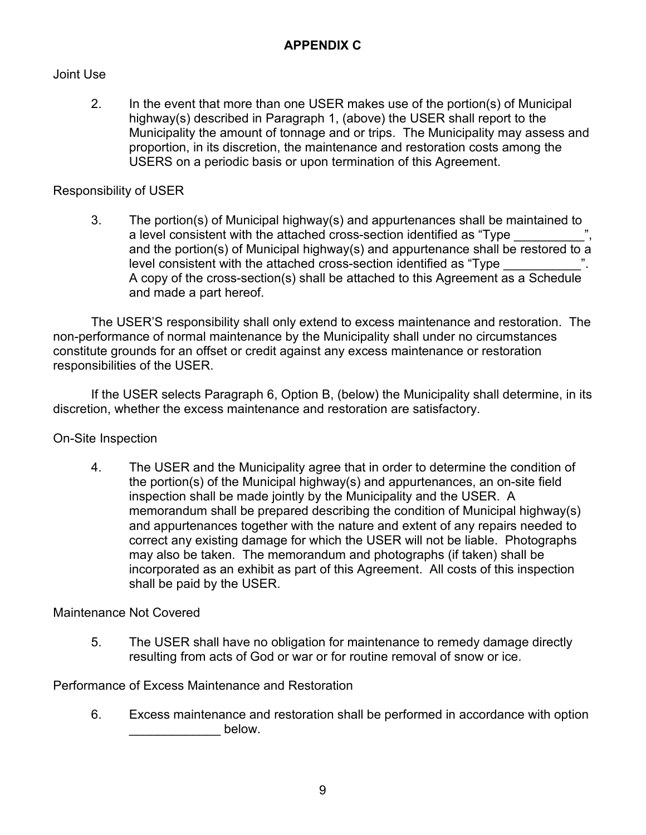## Joint Use

2. In the event that more than one USER makes use of the portion(s) of Municipal highway(s) described in Paragraph 1, (above) the USER shall report to the Municipality the amount of tonnage and or trips. The Municipality may assess and proportion, in its discretion, the maintenance and restoration costs among the USERS on a periodic basis or upon termination of this Agreement.

## Responsibility of USER

3. The portion(s) of Municipal highway(s) and appurtenances shall be maintained to a level consistent with the attached cross-section identified as "Type and the portion(s) of Municipal highway(s) and appurtenance shall be restored to a level consistent with the attached cross-section identified as "Type A copy of the cross-section(s) shall be attached to this Agreement as a Schedule and made a part hereof.

The USER'S responsibility shall only extend to excess maintenance and restoration. The non-performance of normal maintenance by the Municipality shall under no circumstances constitute grounds for an offset or credit against any excess maintenance or restoration responsibilities of the USER.

If the USER selects Paragraph 6, Option B, (below) the Municipality shall determine, in its discretion, whether the excess maintenance and restoration are satisfactory.

On-Site Inspection

4. The USER and the Municipality agree that in order to determine the condition of the portion(s) of the Municipal highway(s) and appurtenances, an on-site field inspection shall be made jointly by the Municipality and the USER. A memorandum shall be prepared describing the condition of Municipal highway(s) and appurtenances together with the nature and extent of any repairs needed to correct any existing damage for which the USER will not be liable. Photographs may also be taken. The memorandum and photographs (if taken) shall be incorporated as an exhibit as part of this Agreement. All costs of this inspection shall be paid by the USER.

Maintenance Not Covered

5. The USER shall have no obligation for maintenance to remedy damage directly resulting from acts of God or war or for routine removal of snow or ice.

Performance of Excess Maintenance and Restoration

6. Excess maintenance and restoration shall be performed in accordance with option below.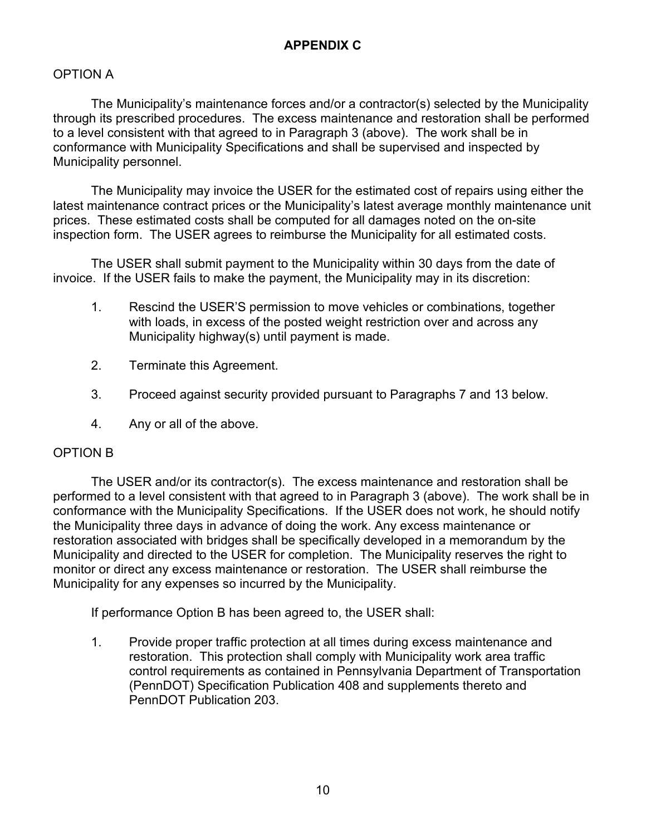#### OPTION A

The Municipality's maintenance forces and/or a contractor(s) selected by the Municipality through its prescribed procedures. The excess maintenance and restoration shall be performed to a level consistent with that agreed to in Paragraph 3 (above). The work shall be in conformance with Municipality Specifications and shall be supervised and inspected by Municipality personnel.

The Municipality may invoice the USER for the estimated cost of repairs using either the latest maintenance contract prices or the Municipality's latest average monthly maintenance unit prices. These estimated costs shall be computed for all damages noted on the on-site inspection form. The USER agrees to reimburse the Municipality for all estimated costs.

The USER shall submit payment to the Municipality within 30 days from the date of invoice. If the USER fails to make the payment, the Municipality may in its discretion:

- 1. Rescind the USER'S permission to move vehicles or combinations, together with loads, in excess of the posted weight restriction over and across any Municipality highway(s) until payment is made.
- 2. Terminate this Agreement.
- 3. Proceed against security provided pursuant to Paragraphs 7 and 13 below.
- 4. Any or all of the above.

#### OPTION B

The USER and/or its contractor(s). The excess maintenance and restoration shall be performed to a level consistent with that agreed to in Paragraph 3 (above). The work shall be in conformance with the Municipality Specifications. If the USER does not work, he should notify the Municipality three days in advance of doing the work. Any excess maintenance or restoration associated with bridges shall be specifically developed in a memorandum by the Municipality and directed to the USER for completion. The Municipality reserves the right to monitor or direct any excess maintenance or restoration. The USER shall reimburse the Municipality for any expenses so incurred by the Municipality.

If performance Option B has been agreed to, the USER shall:

1. Provide proper traffic protection at all times during excess maintenance and restoration. This protection shall comply with Municipality work area traffic control requirements as contained in Pennsylvania Department of Transportation (PennDOT) Specification Publication 408 and supplements thereto and PennDOT Publication 203.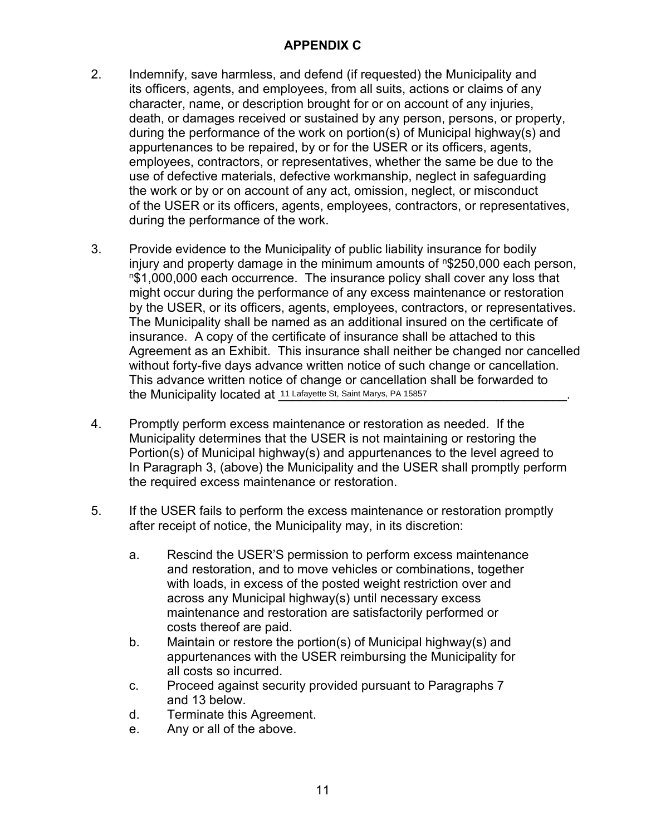- 2. Indemnify, save harmless, and defend (if requested) the Municipality and its officers, agents, and employees, from all suits, actions or claims of any character, name, or description brought for or on account of any injuries, death, or damages received or sustained by any person, persons, or property, during the performance of the work on portion(s) of Municipal highway(s) and appurtenances to be repaired, by or for the USER or its officers, agents, employees, contractors, or representatives, whether the same be due to the use of defective materials, defective workmanship, neglect in safeguarding the work or by or on account of any act, omission, neglect, or misconduct of the USER or its officers, agents, employees, contractors, or representatives, during the performance of the work.
- 3. Provide evidence to the Municipality of public liability insurance for bodily injury and property damage in the minimum amounts of n\$250,000 each person,  $n$1,000,000$  each occurrence. The insurance policy shall cover any loss that might occur during the performance of any excess maintenance or restoration by the USER, or its officers, agents, employees, contractors, or representatives. The Municipality shall be named as an additional insured on the certificate of insurance. A copy of the certificate of insurance shall be attached to this Agreement as an Exhibit. This insurance shall neither be changed nor cancelled without forty-five days advance written notice of such change or cancellation. This advance written notice of change or cancellation shall be forwarded to the Municipality located at \_\_\_\_\_\_\_\_\_\_\_\_\_\_\_\_\_\_\_\_\_\_\_\_\_\_\_\_\_\_\_\_\_\_\_\_\_\_\_\_\_. 11 Lafayette St, Saint Marys, PA 15857
- 4. Promptly perform excess maintenance or restoration as needed. If the Municipality determines that the USER is not maintaining or restoring the Portion(s) of Municipal highway(s) and appurtenances to the level agreed to In Paragraph 3, (above) the Municipality and the USER shall promptly perform the required excess maintenance or restoration.
- 5. If the USER fails to perform the excess maintenance or restoration promptly after receipt of notice, the Municipality may, in its discretion:
	- a. Rescind the USER'S permission to perform excess maintenance and restoration, and to move vehicles or combinations, together with loads, in excess of the posted weight restriction over and across any Municipal highway(s) until necessary excess maintenance and restoration are satisfactorily performed or costs thereof are paid.
	- b. Maintain or restore the portion(s) of Municipal highway(s) and appurtenances with the USER reimbursing the Municipality for all costs so incurred.
	- c. Proceed against security provided pursuant to Paragraphs 7 and 13 below.
	- d. Terminate this Agreement.
	- e. Any or all of the above.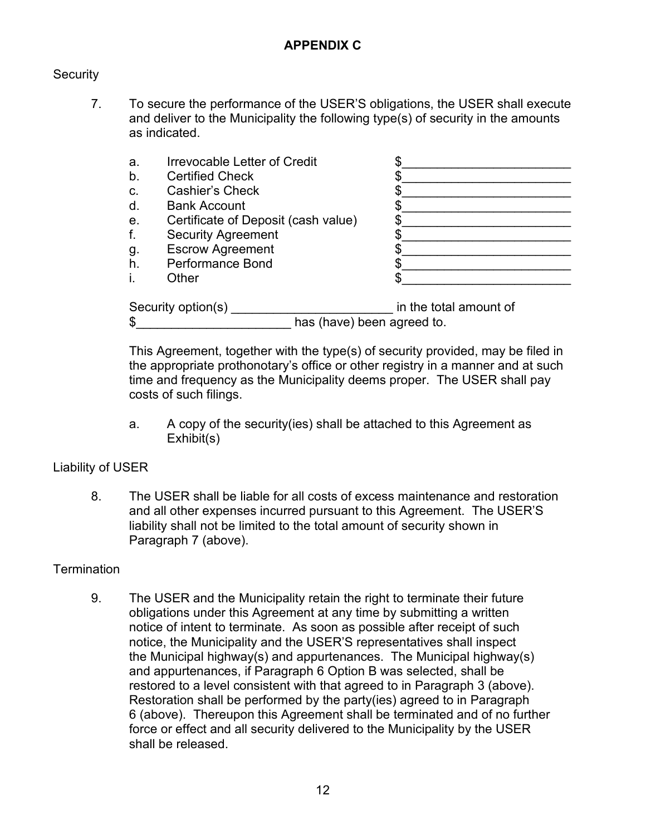#### **Security**

- 7. To secure the performance of the USER'S obligations, the USER shall execute and deliver to the Municipality the following type(s) of security in the amounts as indicated.
	- a. Irrevocable Letter of Credit
	- b. Certified Check
	- c. Cashier's Check
	- d. Bank Account
	- e. Certificate of Deposit (cash value)
	- f. Security Agreement
	- g. Escrow Agreement
	- h. Performance Bond
	-

| a. | Irrevocable Letter of Credit        |  |
|----|-------------------------------------|--|
| b. | <b>Certified Check</b>              |  |
| C. | <b>Cashier's Check</b>              |  |
| d. | <b>Bank Account</b>                 |  |
| е. | Certificate of Deposit (cash value) |  |
|    | <b>Security Agreement</b>           |  |
| g. | <b>Escrow Agreement</b>             |  |
| h. | <b>Performance Bond</b>             |  |
|    | <b>Dther</b>                        |  |

| Security option(s) | in the total amount of     |
|--------------------|----------------------------|
|                    | has (have) been agreed to. |

This Agreement, together with the type(s) of security provided, may be filed in the appropriate prothonotary's office or other registry in a manner and at such time and frequency as the Municipality deems proper. The USER shall pay costs of such filings.

a. A copy of the security(ies) shall be attached to this Agreement as Exhibit(s)

#### Liability of USER

8. The USER shall be liable for all costs of excess maintenance and restoration and all other expenses incurred pursuant to this Agreement. The USER'S liability shall not be limited to the total amount of security shown in Paragraph 7 (above).

#### **Termination**

9. The USER and the Municipality retain the right to terminate their future obligations under this Agreement at any time by submitting a written notice of intent to terminate. As soon as possible after receipt of such notice, the Municipality and the USER'S representatives shall inspect the Municipal highway(s) and appurtenances. The Municipal highway(s) and appurtenances, if Paragraph 6 Option B was selected, shall be restored to a level consistent with that agreed to in Paragraph 3 (above). Restoration shall be performed by the party(ies) agreed to in Paragraph 6 (above). Thereupon this Agreement shall be terminated and of no further force or effect and all security delivered to the Municipality by the USER shall be released.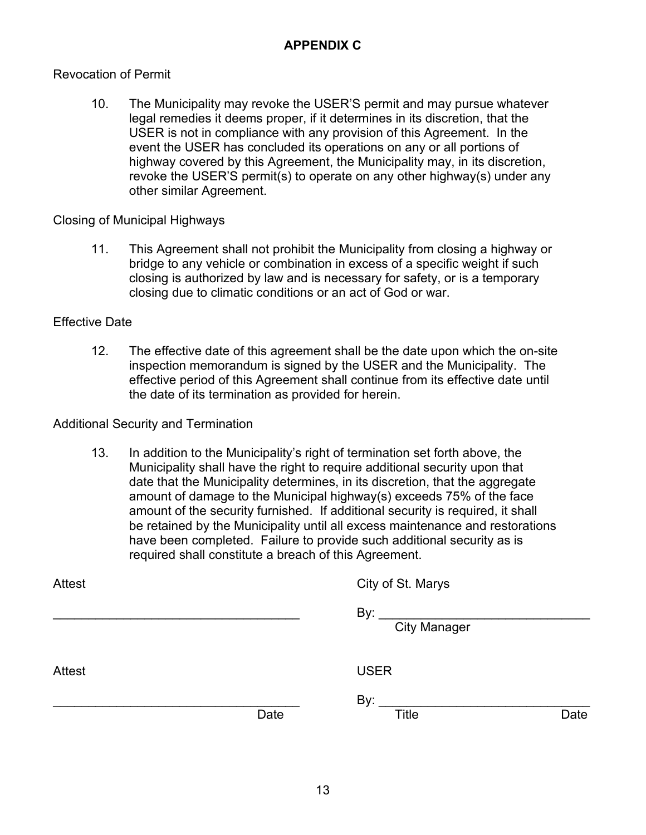#### Revocation of Permit

10. The Municipality may revoke the USER'S permit and may pursue whatever legal remedies it deems proper, if it determines in its discretion, that the USER is not in compliance with any provision of this Agreement. In the event the USER has concluded its operations on any or all portions of highway covered by this Agreement, the Municipality may, in its discretion, revoke the USER'S permit(s) to operate on any other highway(s) under any other similar Agreement.

Closing of Municipal Highways

11. This Agreement shall not prohibit the Municipality from closing a highway or bridge to any vehicle or combination in excess of a specific weight if such closing is authorized by law and is necessary for safety, or is a temporary closing due to climatic conditions or an act of God or war.

#### Effective Date

12. The effective date of this agreement shall be the date upon which the on-site inspection memorandum is signed by the USER and the Municipality. The effective period of this Agreement shall continue from its effective date until the date of its termination as provided for herein.

#### Additional Security and Termination

13. In addition to the Municipality's right of termination set forth above, the Municipality shall have the right to require additional security upon that date that the Municipality determines, in its discretion, that the aggregate amount of damage to the Municipal highway(s) exceeds 75% of the face amount of the security furnished. If additional security is required, it shall be retained by the Municipality until all excess maintenance and restorations have been completed. Failure to provide such additional security as is required shall constitute a breach of this Agreement.

| Attest |      | City of St. Marys                                                                                                                                                                                                                                                                                                                                                                                                                                 |      |
|--------|------|---------------------------------------------------------------------------------------------------------------------------------------------------------------------------------------------------------------------------------------------------------------------------------------------------------------------------------------------------------------------------------------------------------------------------------------------------|------|
|        |      | By: $\frac{1}{\sqrt{1-\frac{1}{\sqrt{1-\frac{1}{\sqrt{1-\frac{1}{\sqrt{1-\frac{1}{\sqrt{1-\frac{1}{\sqrt{1-\frac{1}{\sqrt{1-\frac{1}{\sqrt{1-\frac{1}{\sqrt{1-\frac{1}{\sqrt{1-\frac{1}{\sqrt{1-\frac{1}{\sqrt{1-\frac{1}{\sqrt{1-\frac{1}{1-\frac{1}{\sqrt{1-\frac{1}{1-\frac{1}{\sqrt{1-\frac{1}{1-\frac{1}{\sqrt{1-\frac{1}{1-\frac{1}{\sqrt{1-\frac{1}{1-\frac{1}{1-\frac{1}{\sqrt{1-\frac{1}{1-\frac{1}{1-\frac{1}{\$<br><b>City Manager</b> |      |
| Attest |      | <b>USER</b>                                                                                                                                                                                                                                                                                                                                                                                                                                       |      |
|        | Date | By: $\frac{1}{1}$<br><b>Title</b>                                                                                                                                                                                                                                                                                                                                                                                                                 | Date |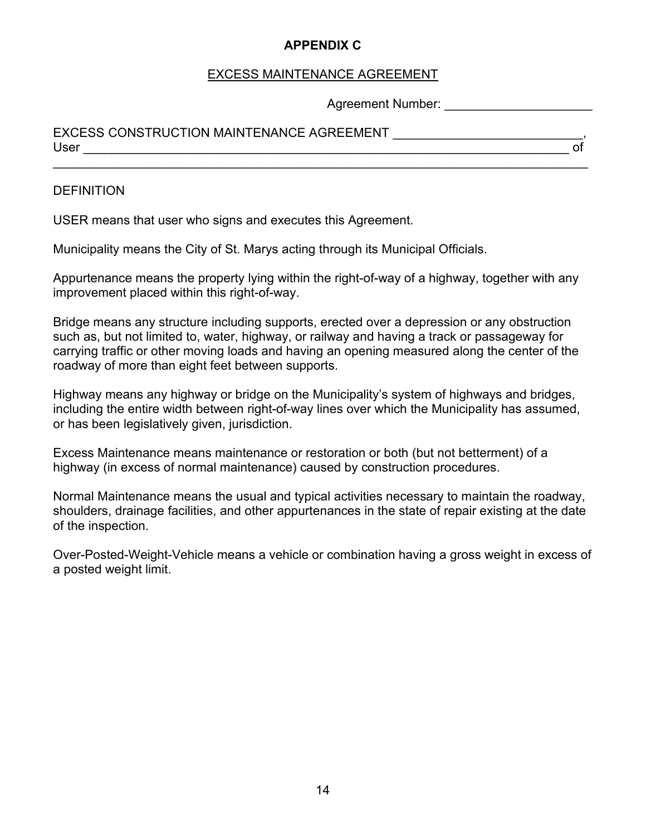### EXCESS MAINTENANCE AGREEMENT

\_\_\_\_\_\_\_\_\_\_\_\_\_\_\_\_\_\_\_\_\_\_\_\_\_\_\_\_\_\_\_\_\_\_\_\_\_\_\_\_\_\_\_\_\_\_\_\_\_\_\_\_\_\_\_\_\_\_\_\_\_\_\_\_\_\_\_\_\_\_\_\_\_\_\_\_

Agreement Number: \_\_\_\_\_\_\_\_\_\_\_\_\_\_\_\_\_\_\_\_\_

## EXCESS CONSTRUCTION MAINTENANCE AGREEMENT \_\_\_\_\_\_\_\_\_\_\_\_\_\_\_\_\_\_\_\_\_\_\_\_\_\_\_, User \_\_\_\_\_\_\_\_\_\_\_\_\_\_\_\_\_\_\_\_\_\_\_\_\_\_\_\_\_\_\_\_\_\_\_\_\_\_\_\_\_\_\_\_\_\_\_\_\_\_\_\_\_\_\_\_\_\_\_\_\_\_\_\_\_\_\_\_\_ of

#### **DEFINITION**

USER means that user who signs and executes this Agreement.

Municipality means the City of St. Marys acting through its Municipal Officials.

Appurtenance means the property lying within the right-of-way of a highway, together with any improvement placed within this right-of-way.

Bridge means any structure including supports, erected over a depression or any obstruction such as, but not limited to, water, highway, or railway and having a track or passageway for carrying traffic or other moving loads and having an opening measured along the center of the roadway of more than eight feet between supports.

Highway means any highway or bridge on the Municipality's system of highways and bridges, including the entire width between right-of-way lines over which the Municipality has assumed, or has been legislatively given, jurisdiction.

Excess Maintenance means maintenance or restoration or both (but not betterment) of a highway (in excess of normal maintenance) caused by construction procedures.

Normal Maintenance means the usual and typical activities necessary to maintain the roadway, shoulders, drainage facilities, and other appurtenances in the state of repair existing at the date of the inspection.

Over-Posted-Weight-Vehicle means a vehicle or combination having a gross weight in excess of a posted weight limit.